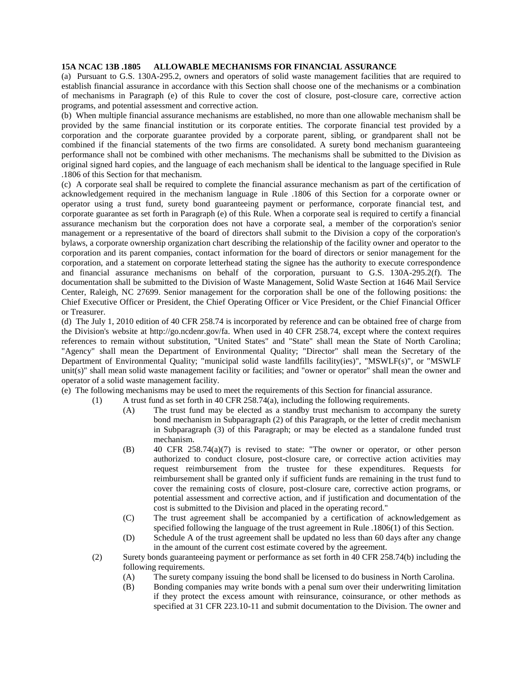## **15A NCAC 13B .1805 ALLOWABLE MECHANISMS FOR FINANCIAL ASSURANCE**

(a) Pursuant to G.S. 130A-295.2, owners and operators of solid waste management facilities that are required to establish financial assurance in accordance with this Section shall choose one of the mechanisms or a combination of mechanisms in Paragraph (e) of this Rule to cover the cost of closure, post-closure care, corrective action programs, and potential assessment and corrective action.

(b) When multiple financial assurance mechanisms are established, no more than one allowable mechanism shall be provided by the same financial institution or its corporate entities. The corporate financial test provided by a corporation and the corporate guarantee provided by a corporate parent, sibling, or grandparent shall not be combined if the financial statements of the two firms are consolidated. A surety bond mechanism guaranteeing performance shall not be combined with other mechanisms. The mechanisms shall be submitted to the Division as original signed hard copies, and the language of each mechanism shall be identical to the language specified in Rule .1806 of this Section for that mechanism.

(c) A corporate seal shall be required to complete the financial assurance mechanism as part of the certification of acknowledgement required in the mechanism language in Rule .1806 of this Section for a corporate owner or operator using a trust fund, surety bond guaranteeing payment or performance, corporate financial test, and corporate guarantee as set forth in Paragraph (e) of this Rule. When a corporate seal is required to certify a financial assurance mechanism but the corporation does not have a corporate seal, a member of the corporation's senior management or a representative of the board of directors shall submit to the Division a copy of the corporation's bylaws, a corporate ownership organization chart describing the relationship of the facility owner and operator to the corporation and its parent companies, contact information for the board of directors or senior management for the corporation, and a statement on corporate letterhead stating the signee has the authority to execute correspondence and financial assurance mechanisms on behalf of the corporation, pursuant to G.S. 130A-295.2(f). The documentation shall be submitted to the Division of Waste Management, Solid Waste Section at 1646 Mail Service Center, Raleigh, NC 27699. Senior management for the corporation shall be one of the following positions: the Chief Executive Officer or President, the Chief Operating Officer or Vice President, or the Chief Financial Officer or Treasurer.

(d) The July 1, 2010 edition of 40 CFR 258.74 is incorporated by reference and can be obtained free of charge from the Division's website at http://go.ncdenr.gov/fa. When used in 40 CFR 258.74, except where the context requires references to remain without substitution, "United States" and "State" shall mean the State of North Carolina; "Agency" shall mean the Department of Environmental Quality; "Director" shall mean the Secretary of the Department of Environmental Quality; "municipal solid waste landfills facility(ies)", "MSWLF(s)", or "MSWLF unit(s)" shall mean solid waste management facility or facilities; and "owner or operator" shall mean the owner and operator of a solid waste management facility.

(e) The following mechanisms may be used to meet the requirements of this Section for financial assurance.

- (1) A trust fund as set forth in 40 CFR 258.74(a), including the following requirements.
	- (A) The trust fund may be elected as a standby trust mechanism to accompany the surety bond mechanism in Subparagraph (2) of this Paragraph, or the letter of credit mechanism in Subparagraph (3) of this Paragraph; or may be elected as a standalone funded trust mechanism.
	- (B) 40 CFR 258.74(a)(7) is revised to state: "The owner or operator, or other person authorized to conduct closure, post-closure care, or corrective action activities may request reimbursement from the trustee for these expenditures. Requests for reimbursement shall be granted only if sufficient funds are remaining in the trust fund to cover the remaining costs of closure, post-closure care, corrective action programs, or potential assessment and corrective action, and if justification and documentation of the cost is submitted to the Division and placed in the operating record."
	- (C) The trust agreement shall be accompanied by a certification of acknowledgement as specified following the language of the trust agreement in Rule .1806(1) of this Section.
	- (D) Schedule A of the trust agreement shall be updated no less than 60 days after any change in the amount of the current cost estimate covered by the agreement.
	- (2) Surety bonds guaranteeing payment or performance as set forth in 40 CFR 258.74(b) including the following requirements.
		- (A) The surety company issuing the bond shall be licensed to do business in North Carolina.
		- (B) Bonding companies may write bonds with a penal sum over their underwriting limitation if they protect the excess amount with reinsurance, coinsurance, or other methods as specified at 31 CFR 223.10-11 and submit documentation to the Division. The owner and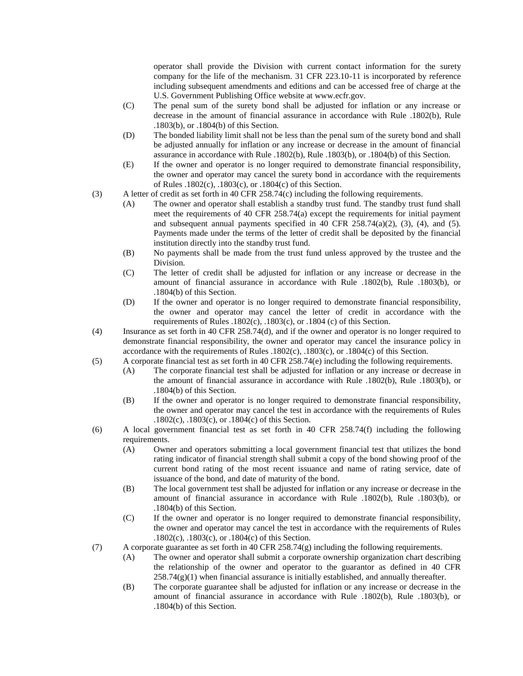operator shall provide the Division with current contact information for the surety company for the life of the mechanism. 31 CFR 223.10-11 is incorporated by reference including subsequent amendments and editions and can be accessed free of charge at the U.S. Government Publishing Office website at www.ecfr.gov.

- (C) The penal sum of the surety bond shall be adjusted for inflation or any increase or decrease in the amount of financial assurance in accordance with Rule .1802(b), Rule .1803(b), or .1804(b) of this Section.
- (D) The bonded liability limit shall not be less than the penal sum of the surety bond and shall be adjusted annually for inflation or any increase or decrease in the amount of financial assurance in accordance with Rule .1802(b), Rule .1803(b), or .1804(b) of this Section.
- (E) If the owner and operator is no longer required to demonstrate financial responsibility, the owner and operator may cancel the surety bond in accordance with the requirements of Rules .1802(c), .1803(c), or .1804(c) of this Section.
- (3) A letter of credit as set forth in 40 CFR 258.74(c) including the following requirements.
	- (A) The owner and operator shall establish a standby trust fund. The standby trust fund shall meet the requirements of 40 CFR 258.74(a) except the requirements for initial payment and subsequent annual payments specified in 40 CFR 258.74(a)(2), (3), (4), and (5). Payments made under the terms of the letter of credit shall be deposited by the financial institution directly into the standby trust fund.
	- (B) No payments shall be made from the trust fund unless approved by the trustee and the Division.
	- (C) The letter of credit shall be adjusted for inflation or any increase or decrease in the amount of financial assurance in accordance with Rule .1802(b), Rule .1803(b), or .1804(b) of this Section.
	- (D) If the owner and operator is no longer required to demonstrate financial responsibility, the owner and operator may cancel the letter of credit in accordance with the requirements of Rules .1802(c), .1803(c), or .1804 (c) of this Section.
- (4) Insurance as set forth in 40 CFR 258.74(d), and if the owner and operator is no longer required to demonstrate financial responsibility, the owner and operator may cancel the insurance policy in accordance with the requirements of Rules .1802(c), .1803(c), or .1804(c) of this Section.
- (5) A corporate financial test as set forth in 40 CFR 258.74(e) including the following requirements.
	- (A) The corporate financial test shall be adjusted for inflation or any increase or decrease in the amount of financial assurance in accordance with Rule .1802(b), Rule .1803(b), or .1804(b) of this Section.
	- (B) If the owner and operator is no longer required to demonstrate financial responsibility, the owner and operator may cancel the test in accordance with the requirements of Rules .1802(c), .1803(c), or .1804(c) of this Section.
- (6) A local government financial test as set forth in 40 CFR 258.74(f) including the following requirements.
	- (A) Owner and operators submitting a local government financial test that utilizes the bond rating indicator of financial strength shall submit a copy of the bond showing proof of the current bond rating of the most recent issuance and name of rating service, date of issuance of the bond, and date of maturity of the bond.
	- (B) The local government test shall be adjusted for inflation or any increase or decrease in the amount of financial assurance in accordance with Rule .1802(b), Rule .1803(b), or .1804(b) of this Section.
	- (C) If the owner and operator is no longer required to demonstrate financial responsibility, the owner and operator may cancel the test in accordance with the requirements of Rules .1802(c), .1803(c), or .1804(c) of this Section.
- (7) A corporate guarantee as set forth in 40 CFR 258.74(g) including the following requirements.
	- (A) The owner and operator shall submit a corporate ownership organization chart describing the relationship of the owner and operator to the guarantor as defined in 40 CFR  $258.74(g)(1)$  when financial assurance is initially established, and annually thereafter.
	- (B) The corporate guarantee shall be adjusted for inflation or any increase or decrease in the amount of financial assurance in accordance with Rule .1802(b), Rule .1803(b), or .1804(b) of this Section.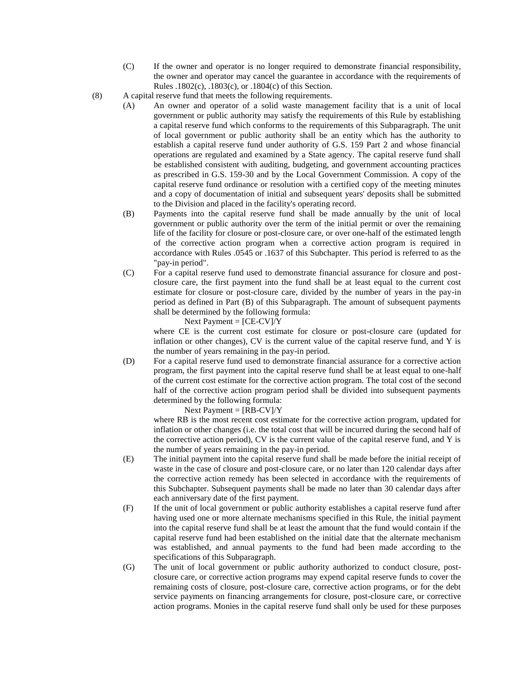- (C) If the owner and operator is no longer required to demonstrate financial responsibility, the owner and operator may cancel the guarantee in accordance with the requirements of Rules .1802(c), .1803(c), or .1804(c) of this Section.
- (8) A capital reserve fund that meets the following requirements.
	- (A) An owner and operator of a solid waste management facility that is a unit of local government or public authority may satisfy the requirements of this Rule by establishing a capital reserve fund which conforms to the requirements of this Subparagraph. The unit of local government or public authority shall be an entity which has the authority to establish a capital reserve fund under authority of G.S. 159 Part 2 and whose financial operations are regulated and examined by a State agency. The capital reserve fund shall be established consistent with auditing, budgeting, and government accounting practices as prescribed in G.S. 159-30 and by the Local Government Commission. A copy of the capital reserve fund ordinance or resolution with a certified copy of the meeting minutes and a copy of documentation of initial and subsequent years' deposits shall be submitted to the Division and placed in the facility's operating record.
	- (B) Payments into the capital reserve fund shall be made annually by the unit of local government or public authority over the term of the initial permit or over the remaining life of the facility for closure or post-closure care, or over one-half of the estimated length of the corrective action program when a corrective action program is required in accordance with Rules .0545 or .1637 of this Subchapter. This period is referred to as the "pay-in period".
	- (C) For a capital reserve fund used to demonstrate financial assurance for closure and postclosure care, the first payment into the fund shall be at least equal to the current cost estimate for closure or post-closure care, divided by the number of years in the pay-in period as defined in Part (B) of this Subparagraph. The amount of subsequent payments shall be determined by the following formula:

Next Payment =  $[CE-CV]/Y$ 

where CE is the current cost estimate for closure or post-closure care (updated for inflation or other changes), CV is the current value of the capital reserve fund, and Y is the number of years remaining in the pay-in period.

(D) For a capital reserve fund used to demonstrate financial assurance for a corrective action program, the first payment into the capital reserve fund shall be at least equal to one-half of the current cost estimate for the corrective action program. The total cost of the second half of the corrective action program period shall be divided into subsequent payments determined by the following formula:

Next Payment  $=$  [RB-CV]/Y

where RB is the most recent cost estimate for the corrective action program, updated for inflation or other changes (i.e. the total cost that will be incurred during the second half of the corrective action period), CV is the current value of the capital reserve fund, and Y is the number of years remaining in the pay-in period.

- (E) The initial payment into the capital reserve fund shall be made before the initial receipt of waste in the case of closure and post-closure care, or no later than 120 calendar days after the corrective action remedy has been selected in accordance with the requirements of this Subchapter. Subsequent payments shall be made no later than 30 calendar days after each anniversary date of the first payment.
- (F) If the unit of local government or public authority establishes a capital reserve fund after having used one or more alternate mechanisms specified in this Rule, the initial payment into the capital reserve fund shall be at least the amount that the fund would contain if the capital reserve fund had been established on the initial date that the alternate mechanism was established, and annual payments to the fund had been made according to the specifications of this Subparagraph.
- (G) The unit of local government or public authority authorized to conduct closure, postclosure care, or corrective action programs may expend capital reserve funds to cover the remaining costs of closure, post-closure care, corrective action programs, or for the debt service payments on financing arrangements for closure, post-closure care, or corrective action programs. Monies in the capital reserve fund shall only be used for these purposes